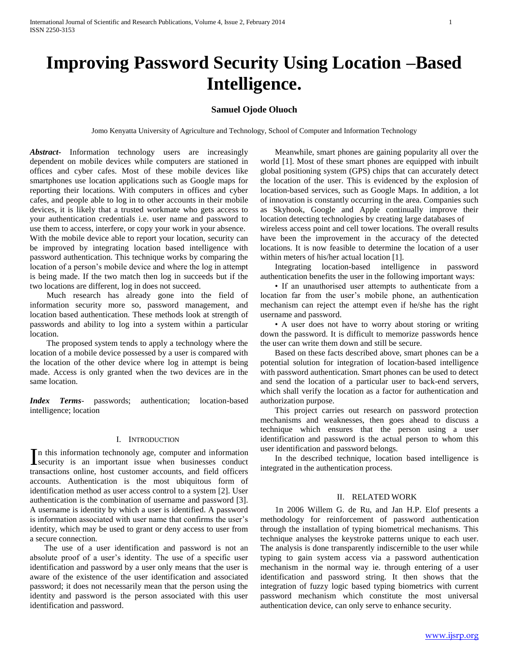# **Improving Password Security Using Location –Based Intelligence.**

# **Samuel Ojode Oluoch**

Jomo Kenyatta University of Agriculture and Technology, School of Computer and Information Technology

*Abstract***-** Information technology users are increasingly dependent on mobile devices while computers are stationed in offices and cyber cafes. Most of these mobile devices like smartphones use location applications such as Google maps for reporting their locations. With computers in offices and cyber cafes, and people able to log in to other accounts in their mobile devices, it is likely that a trusted workmate who gets access to your authentication credentials i.e. user name and password to use them to access, interfere, or copy your work in your absence. With the mobile device able to report your location, security can be improved by integrating location based intelligence with password authentication. This technique works by comparing the location of a person's mobile device and where the log in attempt is being made. If the two match then log in succeeds but if the two locations are different, log in does not succeed.

 Much research has already gone into the field of information security more so, password management, and location based authentication. These methods look at strength of passwords and ability to log into a system within a particular location.

 The proposed system tends to apply a technology where the location of a mobile device possessed by a user is compared with the location of the other device where log in attempt is being made. Access is only granted when the two devices are in the same location.

*Index Terms*- passwords; authentication; location-based intelligence; location

### I. INTRODUCTION

n this information technonoly age, computer and information In this information technonoly age, computer and information<br>security is an important issue when businesses conduct transactions online, host customer accounts, and field officers accounts. Authentication is the most ubiquitous form of identification method as user access control to a system [2]. User authentication is the combination of username and password [3]. A username is identity by which a user is identified. A password is information associated with user name that confirms the user's identity, which may be used to grant or deny access to user from a secure connection.

 The use of a user identification and password is not an absolute proof of a user's identity. The use of a specific user identification and password by a user only means that the user is aware of the existence of the user identification and associated password; it does not necessarily mean that the person using the identity and password is the person associated with this user identification and password.

 Meanwhile, smart phones are gaining popularity all over the world [1]. Most of these smart phones are equipped with inbuilt global positioning system (GPS) chips that can accurately detect the location of the user. This is evidenced by the explosion of location-based services, such as Google Maps. In addition, a lot of innovation is constantly occurring in the area. Companies such as Skyhook, Google and Apple continually improve their location detecting technologies by creating large databases of

wireless access point and cell tower locations. The overall results have been the improvement in the accuracy of the detected locations. It is now feasible to determine the location of a user within meters of his/her actual location [1].

 Integrating location-based intelligence in password authentication benefits the user in the following important ways:

 • If an unauthorised user attempts to authenticate from a location far from the user's mobile phone, an authentication mechanism can reject the attempt even if he/she has the right username and password.

 • A user does not have to worry about storing or writing down the password. It is difficult to memorize passwords hence the user can write them down and still be secure.

 Based on these facts described above, smart phones can be a potential solution for integration of location-based intelligence with password authentication. Smart phones can be used to detect and send the location of a particular user to back-end servers, which shall verify the location as a factor for authentication and authorization purpose.

 This project carries out research on password protection mechanisms and weaknesses, then goes ahead to discuss a technique which ensures that the person using a user identification and password is the actual person to whom this user identification and password belongs.

 In the described technique, location based intelligence is integrated in the authentication process.

#### II. RELATED WORK

 1n 2006 Willem G. de Ru, and Jan H.P. Elof presents a methodology for reinforcement of password authentication through the installation of typing biometrical mechanisms. This technique analyses the keystroke patterns unique to each user. The analysis is done transparently indiscernible to the user while typing to gain system access via a password authentication mechanism in the normal way ie. through entering of a user identification and password string. It then shows that the integration of fuzzy logic based typing biometrics with current password mechanism which constitute the most universal authentication device, can only serve to enhance security.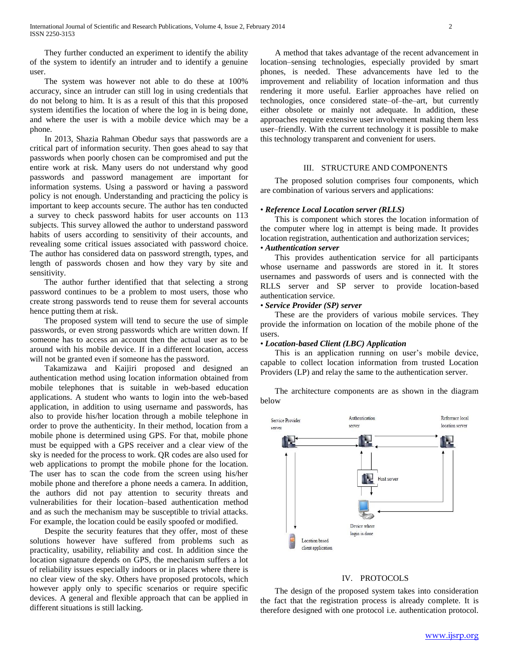They further conducted an experiment to identify the ability of the system to identify an intruder and to identify a genuine user.

 The system was however not able to do these at 100% accuracy, since an intruder can still log in using credentials that do not belong to him. It is as a result of this that this proposed system identifies the location of where the log in is being done, and where the user is with a mobile device which may be a phone.

 In 2013, Shazia Rahman Obedur says that passwords are a critical part of information security. Then goes ahead to say that passwords when poorly chosen can be compromised and put the entire work at risk. Many users do not understand why good passwords and password management are important for information systems. Using a password or having a password policy is not enough. Understanding and practicing the policy is important to keep accounts secure. The author has ten conducted a survey to check password habits for user accounts on 113 subjects. This survey allowed the author to understand password habits of users according to sensitivity of their accounts, and revealing some critical issues associated with password choice. The author has considered data on password strength, types, and length of passwords chosen and how they vary by site and sensitivity.

 The author further identified that that selecting a strong password continues to be a problem to most users, those who create strong passwords tend to reuse them for several accounts hence putting them at risk.

 The proposed system will tend to secure the use of simple passwords, or even strong passwords which are written down. If someone has to access an account then the actual user as to be around with his mobile device. If in a different location, access will not be granted even if someone has the password.

 Takamizawa and Kaijiri proposed and designed an authentication method using location information obtained from mobile telephones that is suitable in web-based education applications. A student who wants to login into the web-based application, in addition to using username and passwords, has also to provide his/her location through a mobile telephone in order to prove the authenticity. In their method, location from a mobile phone is determined using GPS. For that, mobile phone must be equipped with a GPS receiver and a clear view of the sky is needed for the process to work. QR codes are also used for web applications to prompt the mobile phone for the location. The user has to scan the code from the screen using his/her mobile phone and therefore a phone needs a camera. In addition, the authors did not pay attention to security threats and vulnerabilities for their location–based authentication method and as such the mechanism may be susceptible to trivial attacks. For example, the location could be easily spoofed or modified.

 Despite the security features that they offer, most of these solutions however have suffered from problems such as practicality, usability, reliability and cost. In addition since the location signature depends on GPS, the mechanism suffers a lot of reliability issues especially indoors or in places where there is no clear view of the sky. Others have proposed protocols, which however apply only to specific scenarios or require specific devices. A general and flexible approach that can be applied in different situations is still lacking.

 A method that takes advantage of the recent advancement in location–sensing technologies, especially provided by smart phones, is needed. These advancements have led to the improvement and reliability of location information and thus rendering it more useful. Earlier approaches have relied on technologies, once considered state–of–the–art, but currently either obsolete or mainly not adequate. In addition, these approaches require extensive user involvement making them less user–friendly. With the current technology it is possible to make this technology transparent and convenient for users.

#### III. STRUCTURE AND COMPONENTS

 The proposed solution comprises four components, which are combination of various servers and applications:

#### • *Reference Local Location server (RLLS)*

 This is component which stores the location information of the computer where log in attempt is being made. It provides location registration, authentication and authorization services;

# • *Authentication server*

 This provides authentication service for all participants whose username and passwords are stored in it. It stores usernames and passwords of users and is connected with the RLLS server and SP server to provide location-based authentication service.

## • *Service Provider (SP) server*

 These are the providers of various mobile services. They provide the information on location of the mobile phone of the users.

#### • *Location-based Client (LBC) Application*

 This is an application running on user's mobile device, capable to collect location information from trusted Location Providers (LP) and relay the same to the authentication server.

 The architecture components are as shown in the diagram below



## IV. PROTOCOLS

 The design of the proposed system takes into consideration the fact that the registration process is already complete. It is therefore designed with one protocol i.e. authentication protocol.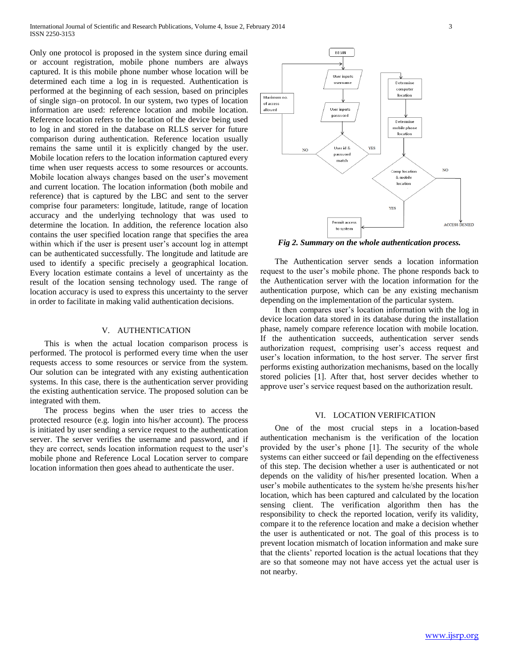Only one protocol is proposed in the system since during email or account registration, mobile phone numbers are always captured. It is this mobile phone number whose location will be determined each time a log in is requested. Authentication is performed at the beginning of each session, based on principles of single sign–on protocol. In our system, two types of location information are used: reference location and mobile location. Reference location refers to the location of the device being used to log in and stored in the database on RLLS server for future comparison during authentication. Reference location usually remains the same until it is explicitly changed by the user. Mobile location refers to the location information captured every time when user requests access to some resources or accounts. Mobile location always changes based on the user's movement and current location. The location information (both mobile and reference) that is captured by the LBC and sent to the server comprise four parameters: longitude, latitude, range of location accuracy and the underlying technology that was used to determine the location. In addition, the reference location also contains the user specified location range that specifies the area within which if the user is present user's account log in attempt can be authenticated successfully. The longitude and latitude are used to identify a specific precisely a geographical location. Every location estimate contains a level of uncertainty as the result of the location sensing technology used. The range of location accuracy is used to express this uncertainty to the server in order to facilitate in making valid authentication decisions.

## V. AUTHENTICATION

 This is when the actual location comparison process is performed. The protocol is performed every time when the user requests access to some resources or service from the system. Our solution can be integrated with any existing authentication systems. In this case, there is the authentication server providing the existing authentication service. The proposed solution can be integrated with them.

 The process begins when the user tries to access the protected resource (e.g. login into his/her account). The process is initiated by user sending a service request to the authentication server. The server verifies the username and password, and if they are correct, sends location information request to the user's mobile phone and Reference Local Location server to compare location information then goes ahead to authenticate the user.



*Fig 2. Summary on the whole authentication process.*

 The Authentication server sends a location information request to the user's mobile phone. The phone responds back to the Authentication server with the location information for the authentication purpose, which can be any existing mechanism depending on the implementation of the particular system.

 It then compares user's location information with the log in device location data stored in its database during the installation phase, namely compare reference location with mobile location. If the authentication succeeds, authentication server sends authorization request, comprising user's access request and user's location information, to the host server. The server first performs existing authorization mechanisms, based on the locally stored policies [1]. After that, host server decides whether to approve user's service request based on the authorization result.

# VI. LOCATION VERIFICATION

 One of the most crucial steps in a location-based authentication mechanism is the verification of the location provided by the user's phone [1]. The security of the whole systems can either succeed or fail depending on the effectiveness of this step. The decision whether a user is authenticated or not depends on the validity of his/her presented location. When a user's mobile authenticates to the system he/she presents his/her location, which has been captured and calculated by the location sensing client. The verification algorithm then has the responsibility to check the reported location, verify its validity, compare it to the reference location and make a decision whether the user is authenticated or not. The goal of this process is to prevent location mismatch of location information and make sure that the clients' reported location is the actual locations that they are so that someone may not have access yet the actual user is not nearby.